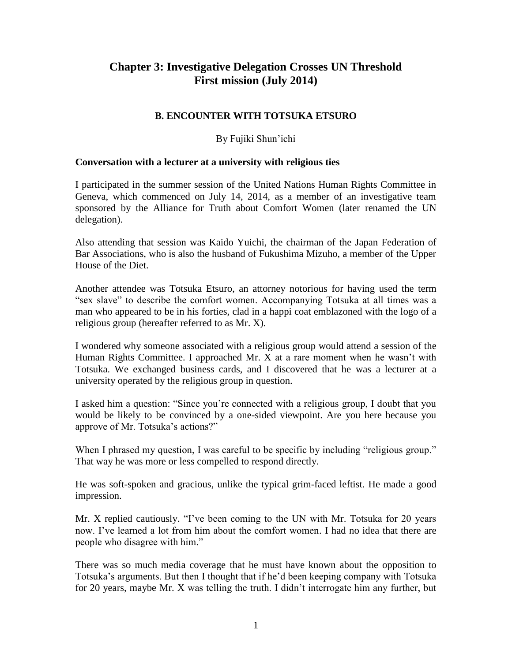# **Chapter 3: Investigative Delegation Crosses UN Threshold First mission (July 2014)**

# **B. ENCOUNTER WITH TOTSUKA ETSURO**

# By Fujiki Shun'ichi

### **Conversation with a lecturer at a university with religious ties**

I participated in the summer session of the United Nations Human Rights Committee in Geneva, which commenced on July 14, 2014, as a member of an investigative team sponsored by the Alliance for Truth about Comfort Women (later renamed the UN delegation).

Also attending that session was Kaido Yuichi, the chairman of the Japan Federation of Bar Associations, who is also the husband of Fukushima Mizuho, a member of the Upper House of the Diet.

Another attendee was Totsuka Etsuro, an attorney notorious for having used the term "sex slave" to describe the comfort women. Accompanying Totsuka at all times was a man who appeared to be in his forties, clad in a happi coat emblazoned with the logo of a religious group (hereafter referred to as Mr. X).

I wondered why someone associated with a religious group would attend a session of the Human Rights Committee. I approached Mr. X at a rare moment when he wasn't with Totsuka. We exchanged business cards, and I discovered that he was a lecturer at a university operated by the religious group in question.

I asked him a question: "Since you're connected with a religious group, I doubt that you would be likely to be convinced by a one-sided viewpoint. Are you here because you approve of Mr. Totsuka's actions?"

When I phrased my question, I was careful to be specific by including "religious group." That way he was more or less compelled to respond directly.

He was soft-spoken and gracious, unlike the typical grim-faced leftist. He made a good impression.

Mr. X replied cautiously. "I've been coming to the UN with Mr. Totsuka for 20 years now. I've learned a lot from him about the comfort women. I had no idea that there are people who disagree with him."

There was so much media coverage that he must have known about the opposition to Totsuka's arguments. But then I thought that if he'd been keeping company with Totsuka for 20 years, maybe Mr. X was telling the truth. I didn't interrogate him any further, but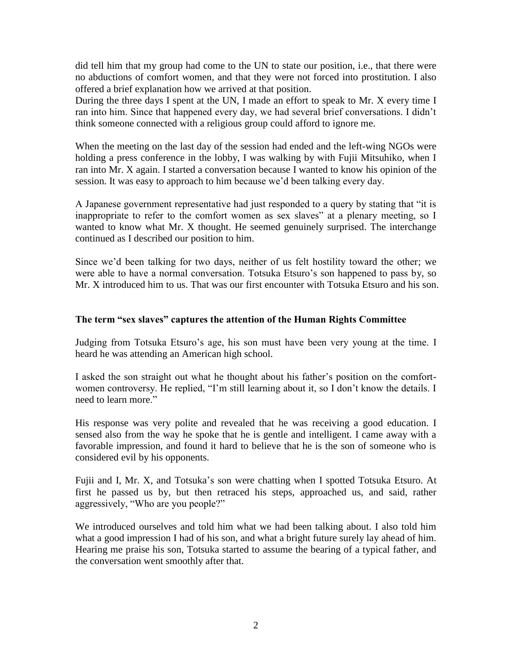did tell him that my group had come to the UN to state our position, i.e., that there were no abductions of comfort women, and that they were not forced into prostitution. I also offered a brief explanation how we arrived at that position.

During the three days I spent at the UN, I made an effort to speak to Mr. X every time I ran into him. Since that happened every day, we had several brief conversations. I didn't think someone connected with a religious group could afford to ignore me.

When the meeting on the last day of the session had ended and the left-wing NGOs were holding a press conference in the lobby, I was walking by with Fujii Mitsuhiko, when I ran into Mr. X again. I started a conversation because I wanted to know his opinion of the session. It was easy to approach to him because we'd been talking every day.

A Japanese government representative had just responded to a query by stating that "it is inappropriate to refer to the comfort women as sex slaves" at a plenary meeting, so I wanted to know what Mr. X thought. He seemed genuinely surprised. The interchange continued as I described our position to him.

Since we'd been talking for two days, neither of us felt hostility toward the other; we were able to have a normal conversation. Totsuka Etsuro's son happened to pass by, so Mr. X introduced him to us. That was our first encounter with Totsuka Etsuro and his son.

# **The term "sex slaves" captures the attention of the Human Rights Committee**

Judging from Totsuka Etsuro's age, his son must have been very young at the time. I heard he was attending an American high school.

I asked the son straight out what he thought about his father's position on the comfortwomen controversy. He replied, "I'm still learning about it, so I don't know the details. I need to learn more."

His response was very polite and revealed that he was receiving a good education. I sensed also from the way he spoke that he is gentle and intelligent. I came away with a favorable impression, and found it hard to believe that he is the son of someone who is considered evil by his opponents.

Fujii and I, Mr. X, and Totsuka's son were chatting when I spotted Totsuka Etsuro. At first he passed us by, but then retraced his steps, approached us, and said, rather aggressively, "Who are you people?"

We introduced ourselves and told him what we had been talking about. I also told him what a good impression I had of his son, and what a bright future surely lay ahead of him. Hearing me praise his son, Totsuka started to assume the bearing of a typical father, and the conversation went smoothly after that.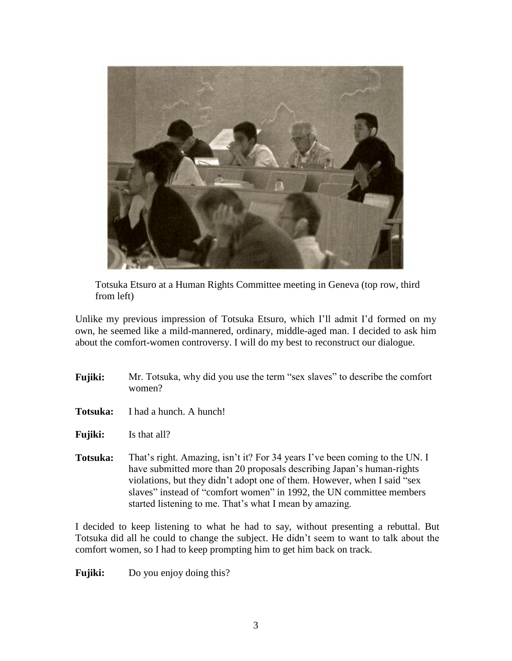

Totsuka Etsuro at a Human Rights Committee meeting in Geneva (top row, third from left)

Unlike my previous impression of Totsuka Etsuro, which I'll admit I'd formed on my own, he seemed like a mild-mannered, ordinary, middle-aged man. I decided to ask him about the comfort-women controversy. I will do my best to reconstruct our dialogue.

- **Fujiki:** Mr. Totsuka, why did you use the term "sex slaves" to describe the comfort women?
- **Totsuka:** I had a hunch. A hunch!
- **Fujiki:** Is that all?
- **Totsuka:** That's right. Amazing, isn't it? For 34 years I've been coming to the UN. I have submitted more than 20 proposals describing Japan's human-rights violations, but they didn't adopt one of them. However, when I said "sex slaves" instead of "comfort women" in 1992, the UN committee members started listening to me. That's what I mean by amazing.

I decided to keep listening to what he had to say, without presenting a rebuttal. But Totsuka did all he could to change the subject. He didn't seem to want to talk about the comfort women, so I had to keep prompting him to get him back on track.

**Fujiki:** Do you enjoy doing this?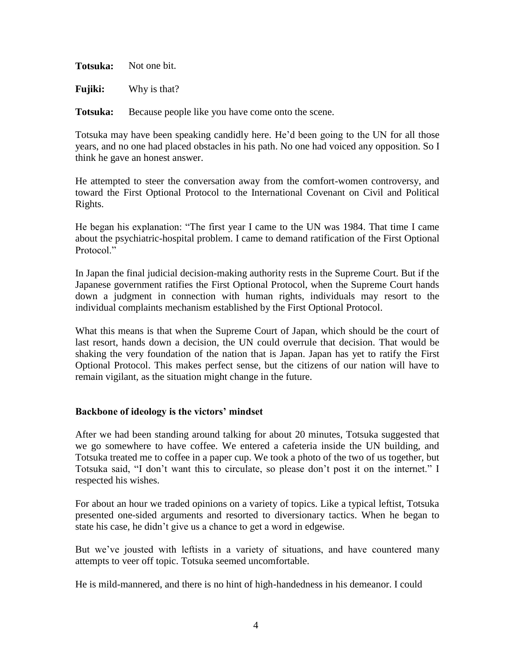**Totsuka:** Not one bit.

**Fujiki:** Why is that?

**Totsuka:** Because people like you have come onto the scene.

Totsuka may have been speaking candidly here. He'd been going to the UN for all those years, and no one had placed obstacles in his path. No one had voiced any opposition. So I think he gave an honest answer.

He attempted to steer the conversation away from the comfort-women controversy, and toward the First Optional Protocol to the International Covenant on Civil and Political Rights.

He began his explanation: "The first year I came to the UN was 1984. That time I came about the psychiatric-hospital problem. I came to demand ratification of the First Optional Protocol."

In Japan the final judicial decision-making authority rests in the Supreme Court. But if the Japanese government ratifies the First Optional Protocol, when the Supreme Court hands down a judgment in connection with human rights, individuals may resort to the individual complaints mechanism established by the First Optional Protocol.

What this means is that when the Supreme Court of Japan, which should be the court of last resort, hands down a decision, the UN could overrule that decision. That would be shaking the very foundation of the nation that is Japan. Japan has yet to ratify the First Optional Protocol. This makes perfect sense, but the citizens of our nation will have to remain vigilant, as the situation might change in the future.

## **Backbone of ideology is the victors' mindset**

After we had been standing around talking for about 20 minutes, Totsuka suggested that we go somewhere to have coffee. We entered a cafeteria inside the UN building, and Totsuka treated me to coffee in a paper cup. We took a photo of the two of us together, but Totsuka said, "I don't want this to circulate, so please don't post it on the internet." I respected his wishes.

For about an hour we traded opinions on a variety of topics. Like a typical leftist, Totsuka presented one-sided arguments and resorted to diversionary tactics. When he began to state his case, he didn't give us a chance to get a word in edgewise.

But we've jousted with leftists in a variety of situations, and have countered many attempts to veer off topic. Totsuka seemed uncomfortable.

He is mild-mannered, and there is no hint of high-handedness in his demeanor. I could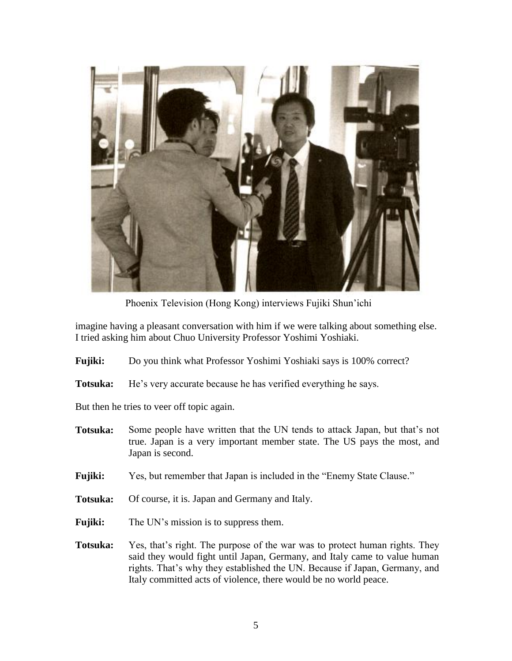

Phoenix Television (Hong Kong) interviews Fujiki Shun'ichi

imagine having a pleasant conversation with him if we were talking about something else. I tried asking him about Chuo University Professor Yoshimi Yoshiaki.

- **Fujiki:** Do you think what Professor Yoshimi Yoshiaki says is 100% correct?
- **Totsuka:** He's very accurate because he has verified everything he says.

But then he tries to veer off topic again.

- **Totsuka:** Some people have written that the UN tends to attack Japan, but that's not true. Japan is a very important member state. The US pays the most, and Japan is second.
- **Fujiki:** Yes, but remember that Japan is included in the "Enemy State Clause."
- **Totsuka:** Of course, it is. Japan and Germany and Italy.
- **Fujiki:** The UN's mission is to suppress them.
- **Totsuka:** Yes, that's right. The purpose of the war was to protect human rights. They said they would fight until Japan, Germany, and Italy came to value human rights. That's why they established the UN. Because if Japan, Germany, and Italy committed acts of violence, there would be no world peace.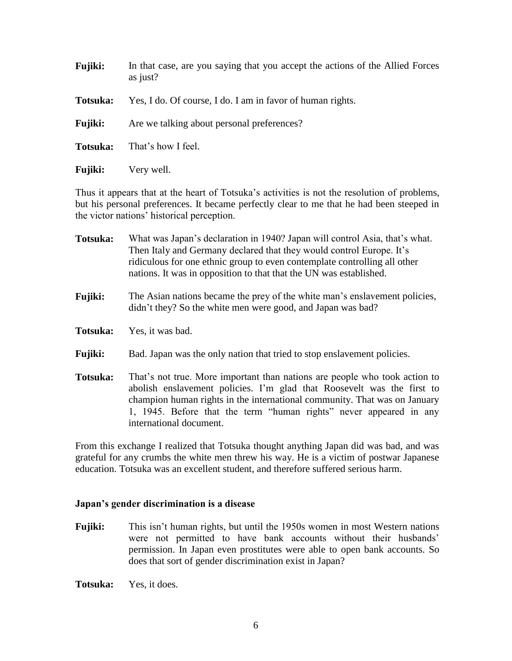| <b>Fujiki:</b> | In that case, are you saying that you accept the actions of the Allied Forces<br>as just? |
|----------------|-------------------------------------------------------------------------------------------|
| Totsuka:       | Yes, I do. Of course, I do. I am in favor of human rights.                                |
| <b>Fujiki:</b> | Are we talking about personal preferences?                                                |
| Totsuka:       | That's how I feel.                                                                        |
| <b>Fujiki:</b> | Very well.                                                                                |

Thus it appears that at the heart of Totsuka's activities is not the resolution of problems, but his personal preferences. It became perfectly clear to me that he had been steeped in the victor nations' historical perception.

| Totsuka:       | What was Japan's declaration in 1940? Japan will control Asia, that's what.<br>Then Italy and Germany declared that they would control Europe. It's<br>ridiculous for one ethnic group to even contemplate controlling all other<br>nations. It was in opposition to that that the UN was established.                             |
|----------------|------------------------------------------------------------------------------------------------------------------------------------------------------------------------------------------------------------------------------------------------------------------------------------------------------------------------------------|
| Fujiki:        | The Asian nations became the prey of the white man's enslavement policies,<br>didn't they? So the white men were good, and Japan was bad?                                                                                                                                                                                          |
| Totsuka:       | Yes, it was bad.                                                                                                                                                                                                                                                                                                                   |
| <b>Fujiki:</b> | Bad. Japan was the only nation that tried to stop enslavement policies.                                                                                                                                                                                                                                                            |
| Totsuka:       | That's not true. More important than nations are people who took action to<br>abolish enslavement policies. I'm glad that Roosevelt was the first to<br>champion human rights in the international community. That was on January<br>1, 1945. Before that the term "human rights" never appeared in any<br>international document. |

From this exchange I realized that Totsuka thought anything Japan did was bad, and was grateful for any crumbs the white men threw his way. He is a victim of postwar Japanese education. Totsuka was an excellent student, and therefore suffered serious harm.

## **Japan's gender discrimination is a disease**

**Fujiki:** This isn't human rights, but until the 1950s women in most Western nations were not permitted to have bank accounts without their husbands' permission. In Japan even prostitutes were able to open bank accounts. So does that sort of gender discrimination exist in Japan?

**Totsuka:** Yes, it does.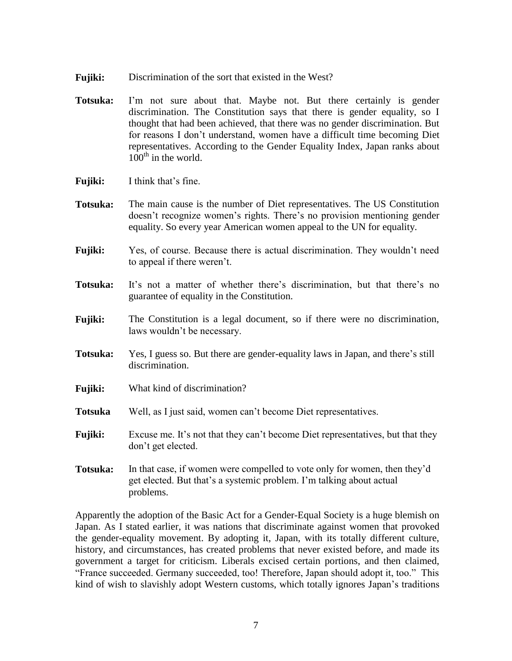- **Fujiki:** Discrimination of the sort that existed in the West?
- **Totsuka:** I'm not sure about that. Maybe not. But there certainly is gender discrimination. The Constitution says that there is gender equality, so I thought that had been achieved, that there was no gender discrimination. But for reasons I don't understand, women have a difficult time becoming Diet representatives. According to the Gender Equality Index, Japan ranks about  $100^{\text{th}}$  in the world.
- **Fujiki:** I think that's fine.
- **Totsuka:** The main cause is the number of Diet representatives. The US Constitution doesn't recognize women's rights. There's no provision mentioning gender equality. So every year American women appeal to the UN for equality.
- **Fujiki:** Yes, of course. Because there is actual discrimination. They wouldn't need to appeal if there weren't.
- **Totsuka:** It's not a matter of whether there's discrimination, but that there's no guarantee of equality in the Constitution.
- **Fujiki:** The Constitution is a legal document, so if there were no discrimination, laws wouldn't be necessary.
- **Totsuka:** Yes, I guess so. But there are gender-equality laws in Japan, and there's still discrimination.
- **Fujiki:** What kind of discrimination?
- **Totsuka** Well, as I just said, women can't become Diet representatives.
- **Fujiki:** Excuse me. It's not that they can't become Diet representatives, but that they don't get elected.
- **Totsuka:** In that case, if women were compelled to vote only for women, then they'd get elected. But that's a systemic problem. I'm talking about actual problems.

Apparently the adoption of the Basic Act for a Gender-Equal Society is a huge blemish on Japan. As I stated earlier, it was nations that discriminate against women that provoked the gender-equality movement. By adopting it, Japan, with its totally different culture, history, and circumstances, has created problems that never existed before, and made its government a target for criticism. Liberals excised certain portions, and then claimed, "France succeeded. Germany succeeded, too! Therefore, Japan should adopt it, too." This kind of wish to slavishly adopt Western customs, which totally ignores Japan's traditions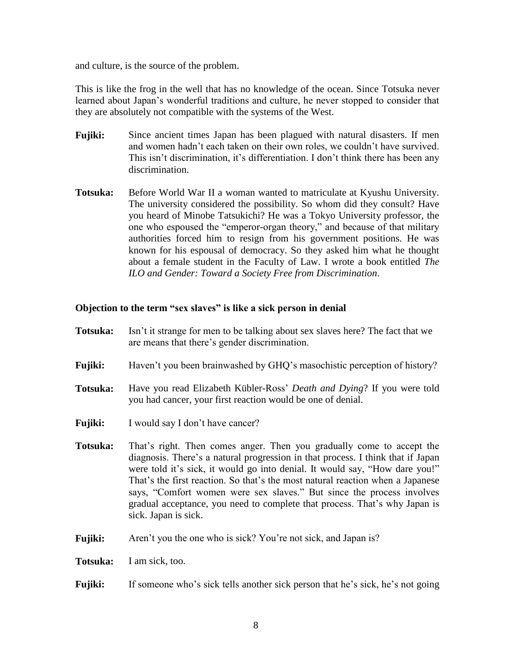and culture, is the source of the problem.

This is like the frog in the well that has no knowledge of the ocean. Since Totsuka never learned about Japan's wonderful traditions and culture, he never stopped to consider that they are absolutely not compatible with the systems of the West.

- **Fujiki:** Since ancient times Japan has been plagued with natural disasters. If men and women hadn't each taken on their own roles, we couldn't have survived. This isn't discrimination, it's differentiation. I don't think there has been any discrimination.
- **Totsuka:** Before World War II a woman wanted to matriculate at Kyushu University. The university considered the possibility. So whom did they consult? Have you heard of Minobe Tatsukichi? He was a Tokyo University professor, the one who espoused the "emperor-organ theory," and because of that military authorities forced him to resign from his government positions. He was known for his espousal of democracy. So they asked him what he thought about a female student in the Faculty of Law. I wrote a book entitled *The ILO and Gender: Toward a Society Free from Discrimination*.

# **Objection to the term "sex slaves" is like a sick person in denial**

- **Totsuka:** Isn't it strange for men to be talking about sex slaves here? The fact that we are means that there's gender discrimination.
- **Fujiki:** Haven't you been brainwashed by GHQ's masochistic perception of history?
- **Totsuka:** Have you read Elizabeth Kübler-Ross' *Death and Dying*? If you were told you had cancer, your first reaction would be one of denial.
- **Fujiki:** I would say I don't have cancer?
- **Totsuka:** That's right. Then comes anger. Then you gradually come to accept the diagnosis. There's a natural progression in that process. I think that if Japan were told it's sick, it would go into denial. It would say, "How dare you!" That's the first reaction. So that's the most natural reaction when a Japanese says, "Comfort women were sex slaves." But since the process involves gradual acceptance, you need to complete that process. That's why Japan is sick. Japan is sick.
- **Fujiki:** Aren't you the one who is sick? You're not sick, and Japan is?
- **Totsuka:** I am sick, too.
- **Fujiki:** If someone who's sick tells another sick person that he's sick, he's not going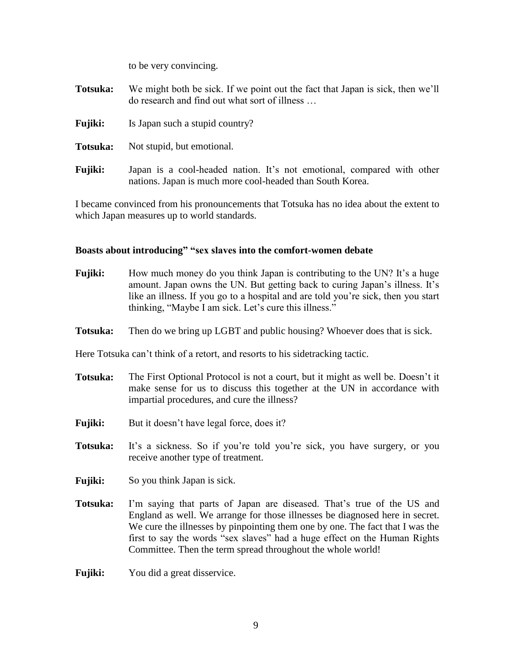to be very convincing.

**Totsuka:** We might both be sick. If we point out the fact that Japan is sick, then we'll do research and find out what sort of illness …

- **Fujiki:** Is Japan such a stupid country?
- **Totsuka:** Not stupid, but emotional.
- **Fujiki:** Japan is a cool-headed nation. It's not emotional, compared with other nations. Japan is much more cool-headed than South Korea.

I became convinced from his pronouncements that Totsuka has no idea about the extent to which Japan measures up to world standards.

### **Boasts about introducing" "sex slaves into the comfort-women debate**

- **Fujiki:** How much money do you think Japan is contributing to the UN? It's a huge amount. Japan owns the UN. But getting back to curing Japan's illness. It's like an illness. If you go to a hospital and are told you're sick, then you start thinking, "Maybe I am sick. Let's cure this illness."
- **Totsuka:** Then do we bring up LGBT and public housing? Whoever does that is sick.

Here Totsuka can't think of a retort, and resorts to his sidetracking tactic.

- **Totsuka:** The First Optional Protocol is not a court, but it might as well be. Doesn't it make sense for us to discuss this together at the UN in accordance with impartial procedures, and cure the illness?
- **Fujiki:** But it doesn't have legal force, does it?
- **Totsuka:** It's a sickness. So if you're told you're sick, you have surgery, or you receive another type of treatment.
- **Fujiki:** So you think Japan is sick.
- **Totsuka:** I'm saying that parts of Japan are diseased. That's true of the US and England as well. We arrange for those illnesses be diagnosed here in secret. We cure the illnesses by pinpointing them one by one. The fact that I was the first to say the words "sex slaves" had a huge effect on the Human Rights Committee. Then the term spread throughout the whole world!
- **Fujiki:** You did a great disservice.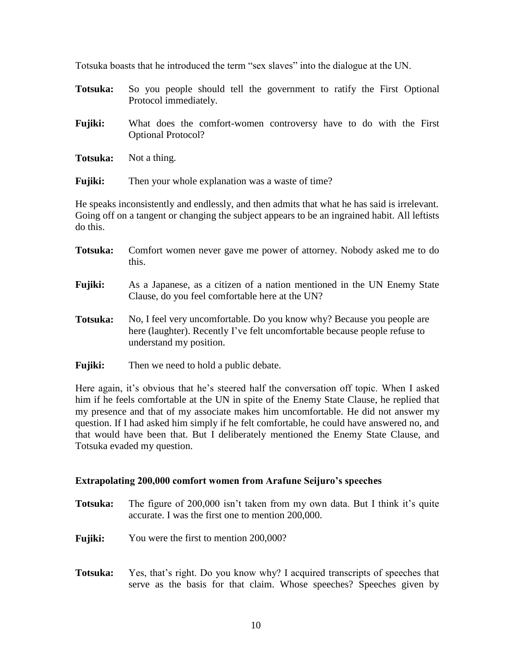Totsuka boasts that he introduced the term "sex slaves" into the dialogue at the UN.

- **Totsuka:** So you people should tell the government to ratify the First Optional Protocol immediately.
- **Fujiki:** What does the comfort-women controversy have to do with the First Optional Protocol?
- **Totsuka:** Not a thing.

**Fujiki:** Then your whole explanation was a waste of time?

He speaks inconsistently and endlessly, and then admits that what he has said is irrelevant. Going off on a tangent or changing the subject appears to be an ingrained habit. All leftists do this.

- **Totsuka:** Comfort women never gave me power of attorney. Nobody asked me to do this.
- **Fujiki:** As a Japanese, as a citizen of a nation mentioned in the UN Enemy State Clause, do you feel comfortable here at the UN?
- **Totsuka:** No, I feel very uncomfortable. Do you know why? Because you people are here (laughter). Recently I've felt uncomfortable because people refuse to understand my position.
- **Fujiki:** Then we need to hold a public debate.

Here again, it's obvious that he's steered half the conversation off topic. When I asked him if he feels comfortable at the UN in spite of the Enemy State Clause, he replied that my presence and that of my associate makes him uncomfortable. He did not answer my question. If I had asked him simply if he felt comfortable, he could have answered no, and that would have been that. But I deliberately mentioned the Enemy State Clause, and Totsuka evaded my question.

#### **Extrapolating 200,000 comfort women from Arafune Seijuro's speeches**

- **Totsuka:** The figure of 200,000 isn't taken from my own data. But I think it's quite accurate. I was the first one to mention 200,000.
- **Fujiki:** You were the first to mention 200,000?
- **Totsuka:** Yes, that's right. Do you know why? I acquired transcripts of speeches that serve as the basis for that claim. Whose speeches? Speeches given by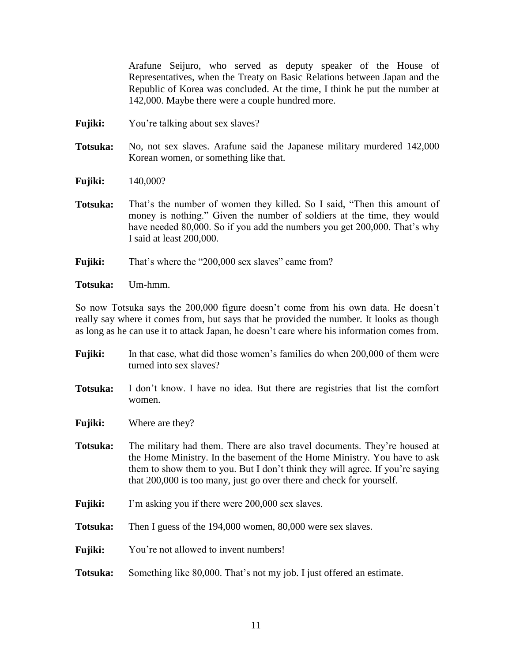Arafune Seijuro, who served as deputy speaker of the House of Representatives, when the Treaty on Basic Relations between Japan and the Republic of Korea was concluded. At the time, I think he put the number at 142,000. Maybe there were a couple hundred more.

- **Fujiki:** You're talking about sex slaves?
- **Totsuka:** No, not sex slaves. Arafune said the Japanese military murdered 142,000 Korean women, or something like that.
- **Fujiki:** 140,000?
- **Totsuka:** That's the number of women they killed. So I said, "Then this amount of money is nothing." Given the number of soldiers at the time, they would have needed 80,000. So if you add the numbers you get 200,000. That's why I said at least 200,000.
- **Fujiki:** That's where the "200,000 sex slaves" came from?
- **Totsuka:** Um-hmm.

So now Totsuka says the 200,000 figure doesn't come from his own data. He doesn't really say where it comes from, but says that he provided the number. It looks as though as long as he can use it to attack Japan, he doesn't care where his information comes from.

**Fujiki:** In that case, what did those women's families do when 200,000 of them were turned into sex slaves? **Totsuka:** I don't know. I have no idea. But there are registries that list the comfort women. **Fujiki:** Where are they? **Totsuka:** The military had them. There are also travel documents. They're housed at the Home Ministry. In the basement of the Home Ministry. You have to ask them to show them to you. But I don't think they will agree. If you're saying that 200,000 is too many, just go over there and check for yourself. **Fujiki:** I'm asking you if there were 200,000 sex slaves. **Totsuka:** Then I guess of the 194,000 women, 80,000 were sex slaves. **Fujiki:** You're not allowed to invent numbers! **Totsuka:** Something like 80,000. That's not my job. I just offered an estimate.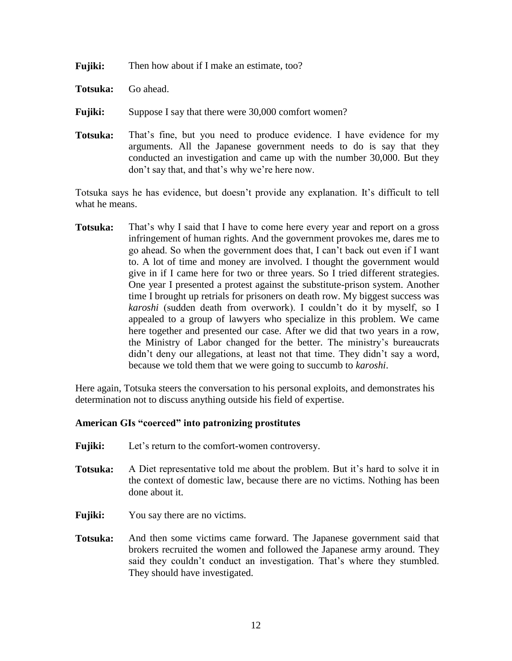| Fujiki:<br>Then how about if I make an estimate, too? |  |
|-------------------------------------------------------|--|
|-------------------------------------------------------|--|

- **Totsuka:** Go ahead.
- **Fujiki:** Suppose I say that there were 30,000 comfort women?
- **Totsuka:** That's fine, but you need to produce evidence. I have evidence for my arguments. All the Japanese government needs to do is say that they conducted an investigation and came up with the number 30,000. But they don't say that, and that's why we're here now.

Totsuka says he has evidence, but doesn't provide any explanation. It's difficult to tell what he means.

**Totsuka:** That's why I said that I have to come here every year and report on a gross infringement of human rights. And the government provokes me, dares me to go ahead. So when the government does that, I can't back out even if I want to. A lot of time and money are involved. I thought the government would give in if I came here for two or three years. So I tried different strategies. One year I presented a protest against the substitute-prison system. Another time I brought up retrials for prisoners on death row. My biggest success was *karoshi* (sudden death from overwork). I couldn't do it by myself, so I appealed to a group of lawyers who specialize in this problem. We came here together and presented our case. After we did that two years in a row, the Ministry of Labor changed for the better. The ministry's bureaucrats didn't deny our allegations, at least not that time. They didn't say a word, because we told them that we were going to succumb to *karoshi*.

Here again, Totsuka steers the conversation to his personal exploits, and demonstrates his determination not to discuss anything outside his field of expertise.

#### **American GIs "coerced" into patronizing prostitutes**

- **Fujiki:** Let's return to the comfort-women controversy.
- **Totsuka:** A Diet representative told me about the problem. But it's hard to solve it in the context of domestic law, because there are no victims. Nothing has been done about it.
- **Fujiki:** You say there are no victims.
- **Totsuka:** And then some victims came forward. The Japanese government said that brokers recruited the women and followed the Japanese army around. They said they couldn't conduct an investigation. That's where they stumbled. They should have investigated.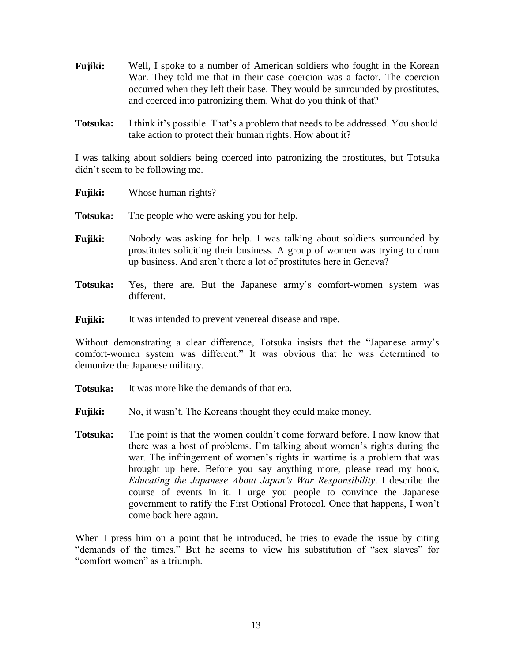- **Fujiki:** Well, I spoke to a number of American soldiers who fought in the Korean War. They told me that in their case coercion was a factor. The coercion occurred when they left their base. They would be surrounded by prostitutes, and coerced into patronizing them. What do you think of that?
- **Totsuka:** I think it's possible. That's a problem that needs to be addressed. You should take action to protect their human rights. How about it?

I was talking about soldiers being coerced into patronizing the prostitutes, but Totsuka didn't seem to be following me.

| <b>Fujiki:</b> | Whose human rights?                                                                                                                                                                                                        |
|----------------|----------------------------------------------------------------------------------------------------------------------------------------------------------------------------------------------------------------------------|
| Totsuka:       | The people who were asking you for help.                                                                                                                                                                                   |
| <b>Fujiki:</b> | Nobody was asking for help. I was talking about soldiers surrounded by<br>prostitutes soliciting their business. A group of women was trying to drum<br>up business. And aren't there a lot of prostitutes here in Geneva? |
| Totsuka:       | Yes, there are. But the Japanese army's comfort-women system was<br>different.                                                                                                                                             |

**Fujiki:** It was intended to prevent venereal disease and rape.

Without demonstrating a clear difference, Totsuka insists that the "Japanese army's comfort-women system was different." It was obvious that he was determined to demonize the Japanese military.

- **Totsuka:** It was more like the demands of that era.
- **Fujiki:** No, it wasn't. The Koreans thought they could make money.
- **Totsuka:** The point is that the women couldn't come forward before. I now know that there was a host of problems. I'm talking about women's rights during the war. The infringement of women's rights in wartime is a problem that was brought up here. Before you say anything more, please read my book, *Educating the Japanese About Japan's War Responsibility*. I describe the course of events in it. I urge you people to convince the Japanese government to ratify the First Optional Protocol. Once that happens, I won't come back here again.

When I press him on a point that he introduced, he tries to evade the issue by citing "demands of the times." But he seems to view his substitution of "sex slaves" for "comfort women" as a triumph.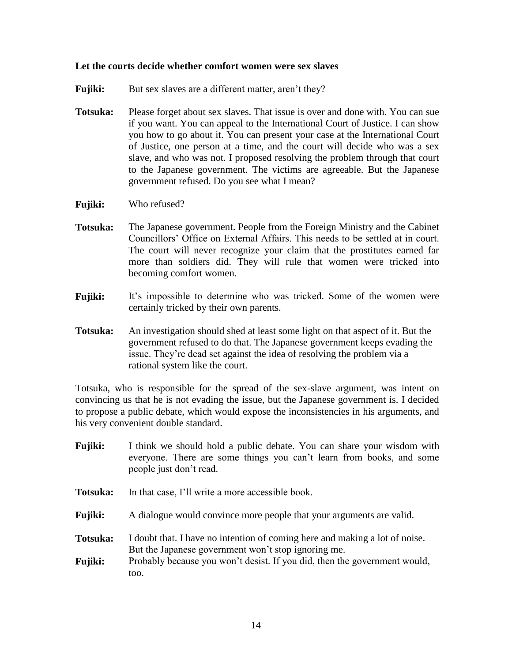### **Let the courts decide whether comfort women were sex slaves**

- **Fujiki:** But sex slaves are a different matter, aren't they?
- **Totsuka:** Please forget about sex slaves. That issue is over and done with. You can sue if you want. You can appeal to the International Court of Justice. I can show you how to go about it. You can present your case at the International Court of Justice, one person at a time, and the court will decide who was a sex slave, and who was not. I proposed resolving the problem through that court to the Japanese government. The victims are agreeable. But the Japanese government refused. Do you see what I mean?
- **Fujiki:** Who refused?
- **Totsuka:** The Japanese government. People from the Foreign Ministry and the Cabinet Councillors' Office on External Affairs. This needs to be settled at in court. The court will never recognize your claim that the prostitutes earned far more than soldiers did. They will rule that women were tricked into becoming comfort women.
- **Fujiki:** It's impossible to determine who was tricked. Some of the women were certainly tricked by their own parents.
- **Totsuka:** An investigation should shed at least some light on that aspect of it. But the government refused to do that. The Japanese government keeps evading the issue. They're dead set against the idea of resolving the problem via a rational system like the court.

Totsuka, who is responsible for the spread of the sex-slave argument, was intent on convincing us that he is not evading the issue, but the Japanese government is. I decided to propose a public debate, which would expose the inconsistencies in his arguments, and his very convenient double standard.

- **Fujiki:** I think we should hold a public debate. You can share your wisdom with everyone. There are some things you can't learn from books, and some people just don't read.
- **Totsuka:** In that case, I'll write a more accessible book.
- **Fujiki:** A dialogue would convince more people that your arguments are valid.
- **Totsuka:** I doubt that. I have no intention of coming here and making a lot of noise. But the Japanese government won't stop ignoring me.
- **Fujiki:** Probably because you won't desist. If you did, then the government would, too.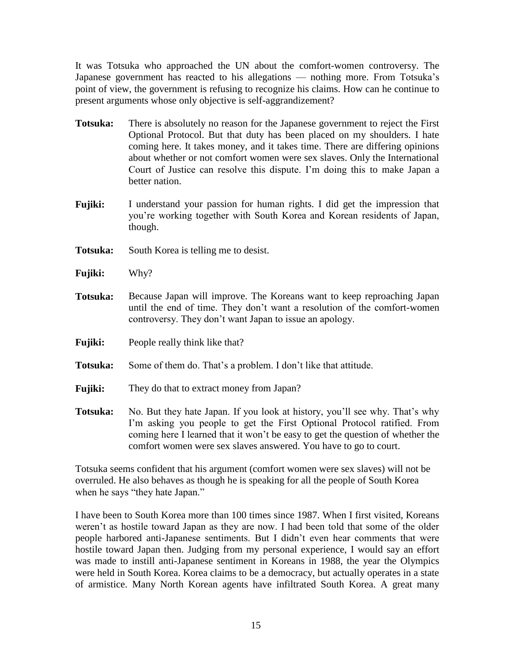It was Totsuka who approached the UN about the comfort-women controversy. The Japanese government has reacted to his allegations — nothing more. From Totsuka's point of view, the government is refusing to recognize his claims. How can he continue to present arguments whose only objective is self-aggrandizement?

- **Totsuka:** There is absolutely no reason for the Japanese government to reject the First Optional Protocol. But that duty has been placed on my shoulders. I hate coming here. It takes money, and it takes time. There are differing opinions about whether or not comfort women were sex slaves. Only the International Court of Justice can resolve this dispute. I'm doing this to make Japan a better nation.
- **Fujiki:** I understand your passion for human rights. I did get the impression that you're working together with South Korea and Korean residents of Japan, though.
- **Totsuka:** South Korea is telling me to desist.
- **Fujiki:** Why?
- **Totsuka:** Because Japan will improve. The Koreans want to keep reproaching Japan until the end of time. They don't want a resolution of the comfort-women controversy. They don't want Japan to issue an apology.
- **Fujiki:** People really think like that?
- **Totsuka:** Some of them do. That's a problem. I don't like that attitude.
- **Fujiki:** They do that to extract money from Japan?
- **Totsuka:** No. But they hate Japan. If you look at history, you'll see why. That's why I'm asking you people to get the First Optional Protocol ratified. From coming here I learned that it won't be easy to get the question of whether the comfort women were sex slaves answered. You have to go to court.

Totsuka seems confident that his argument (comfort women were sex slaves) will not be overruled. He also behaves as though he is speaking for all the people of South Korea when he says "they hate Japan."

I have been to South Korea more than 100 times since 1987. When I first visited, Koreans weren't as hostile toward Japan as they are now. I had been told that some of the older people harbored anti-Japanese sentiments. But I didn't even hear comments that were hostile toward Japan then. Judging from my personal experience, I would say an effort was made to instill anti-Japanese sentiment in Koreans in 1988, the year the Olympics were held in South Korea. Korea claims to be a democracy, but actually operates in a state of armistice. Many North Korean agents have infiltrated South Korea. A great many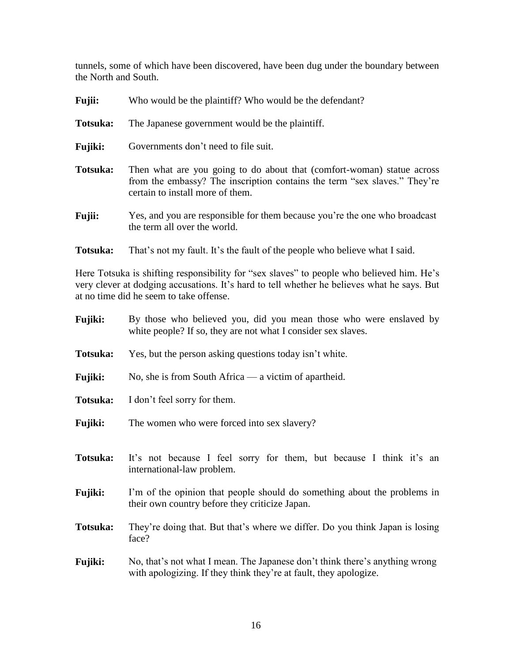tunnels, some of which have been discovered, have been dug under the boundary between the North and South.

| <b>Fujii:</b>  | Who would be the plaintiff? Who would be the defendant?                                                                                                                                 |
|----------------|-----------------------------------------------------------------------------------------------------------------------------------------------------------------------------------------|
| Totsuka:       | The Japanese government would be the plaintiff.                                                                                                                                         |
| <b>Fujiki:</b> | Governments don't need to file suit.                                                                                                                                                    |
| Totsuka:       | Then what are you going to do about that (comfort-woman) statue across<br>from the embassy? The inscription contains the term "sex slaves." They're<br>certain to install more of them. |
| <b>Fujii:</b>  | Yes, and you are responsible for them because you're the one who broadcast<br>the term all over the world.                                                                              |

**Totsuka:** That's not my fault. It's the fault of the people who believe what I said.

Here Totsuka is shifting responsibility for "sex slaves" to people who believed him. He's very clever at dodging accusations. It's hard to tell whether he believes what he says. But at no time did he seem to take offense.

| <b>Fujiki:</b> | By those who believed you, did you mean those who were enslaved by<br>white people? If so, they are not what I consider sex slaves.              |
|----------------|--------------------------------------------------------------------------------------------------------------------------------------------------|
| Totsuka:       | Yes, but the person asking questions today isn't white.                                                                                          |
| <b>Fujiki:</b> | No, she is from South Africa — a victim of apartheid.                                                                                            |
| Totsuka:       | I don't feel sorry for them.                                                                                                                     |
| <b>Fujiki:</b> | The women who were forced into sex slavery?                                                                                                      |
| Totsuka:       | It's not because I feel sorry for them, but because I think it's an<br>international-law problem.                                                |
| <b>Fujiki:</b> | I'm of the opinion that people should do something about the problems in<br>their own country before they criticize Japan.                       |
| Totsuka:       | They're doing that. But that's where we differ. Do you think Japan is losing<br>face?                                                            |
| <b>Fujiki:</b> | No, that's not what I mean. The Japanese don't think there's anything wrong<br>with apologizing. If they think they're at fault, they apologize. |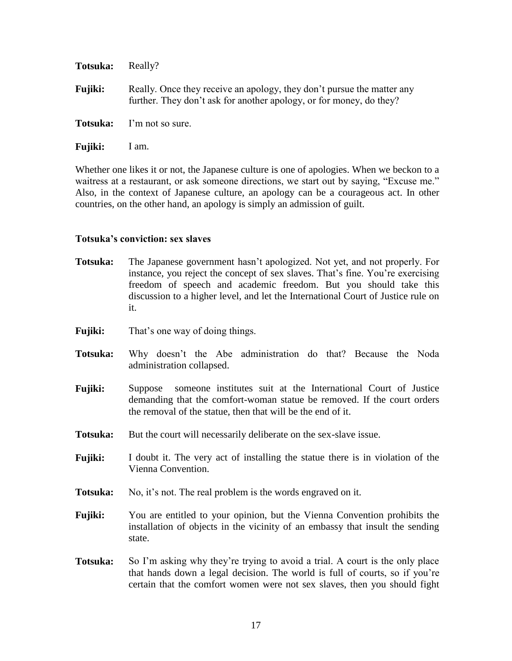| Totsuka:       | Really?                                                                                                                                       |
|----------------|-----------------------------------------------------------------------------------------------------------------------------------------------|
| <b>Fujiki:</b> | Really. Once they receive an apology, they don't pursue the matter any<br>further. They don't ask for another apology, or for money, do they? |
|                | <b>Totsuka:</b> I'm not so sure.                                                                                                              |
| <b>Fujiki:</b> | 1 am.                                                                                                                                         |

Whether one likes it or not, the Japanese culture is one of apologies. When we beckon to a waitress at a restaurant, or ask someone directions, we start out by saying, "Excuse me." Also, in the context of Japanese culture, an apology can be a courageous act. In other countries, on the other hand, an apology is simply an admission of guilt.

#### **Totsuka's conviction: sex slaves**

| Totsuka: | The Japanese government hasn't apologized. Not yet, and not properly. For        |
|----------|----------------------------------------------------------------------------------|
|          | instance, you reject the concept of sex slaves. That's fine. You're exercising   |
|          | freedom of speech and academic freedom. But you should take this                 |
|          | discussion to a higher level, and let the International Court of Justice rule on |
|          | 1t.                                                                              |

- **Fujiki:** That's one way of doing things.
- **Totsuka:** Why doesn't the Abe administration do that? Because the Noda administration collapsed.
- **Fujiki:** Suppose someone institutes suit at the International Court of Justice demanding that the comfort-woman statue be removed. If the court orders the removal of the statue, then that will be the end of it.
- **Totsuka:** But the court will necessarily deliberate on the sex-slave issue.
- **Fujiki:** I doubt it. The very act of installing the statue there is in violation of the Vienna Convention.
- **Totsuka:** No, it's not. The real problem is the words engraved on it.
- **Fujiki:** You are entitled to your opinion, but the Vienna Convention prohibits the installation of objects in the vicinity of an embassy that insult the sending state.
- **Totsuka:** So I'm asking why they're trying to avoid a trial. A court is the only place that hands down a legal decision. The world is full of courts, so if you're certain that the comfort women were not sex slaves, then you should fight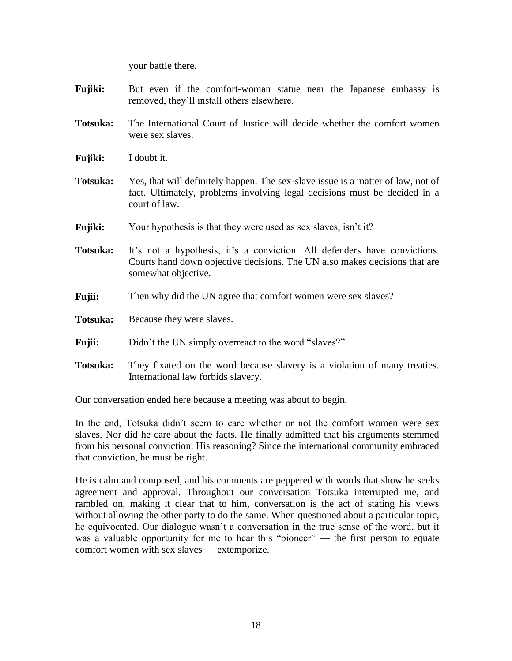your battle there.

- **Fujiki:** But even if the comfort-woman statue near the Japanese embassy is removed, they'll install others elsewhere.
- **Totsuka:** The International Court of Justice will decide whether the comfort women were sex slaves.
- **Fujiki:** I doubt it.
- **Totsuka:** Yes, that will definitely happen. The sex-slave issue is a matter of law, not of fact. Ultimately, problems involving legal decisions must be decided in a court of law.
- **Fujiki:** Your hypothesis is that they were used as sex slaves, isn't it?
- **Totsuka:** It's not a hypothesis, it's a conviction. All defenders have convictions. Courts hand down objective decisions. The UN also makes decisions that are somewhat objective.
- **Fujii:** Then why did the UN agree that comfort women were sex slaves?
- **Totsuka:** Because they were slaves.
- **Fujii:** Didn't the UN simply overreact to the word "slaves?"
- **Totsuka:** They fixated on the word because slavery is a violation of many treaties. International law forbids slavery.

Our conversation ended here because a meeting was about to begin.

In the end, Totsuka didn't seem to care whether or not the comfort women were sex slaves. Nor did he care about the facts. He finally admitted that his arguments stemmed from his personal conviction. His reasoning? Since the international community embraced that conviction, he must be right.

He is calm and composed, and his comments are peppered with words that show he seeks agreement and approval. Throughout our conversation Totsuka interrupted me, and rambled on, making it clear that to him, conversation is the act of stating his views without allowing the other party to do the same. When questioned about a particular topic, he equivocated. Our dialogue wasn't a conversation in the true sense of the word, but it was a valuable opportunity for me to hear this "pioneer" — the first person to equate comfort women with sex slaves — extemporize.